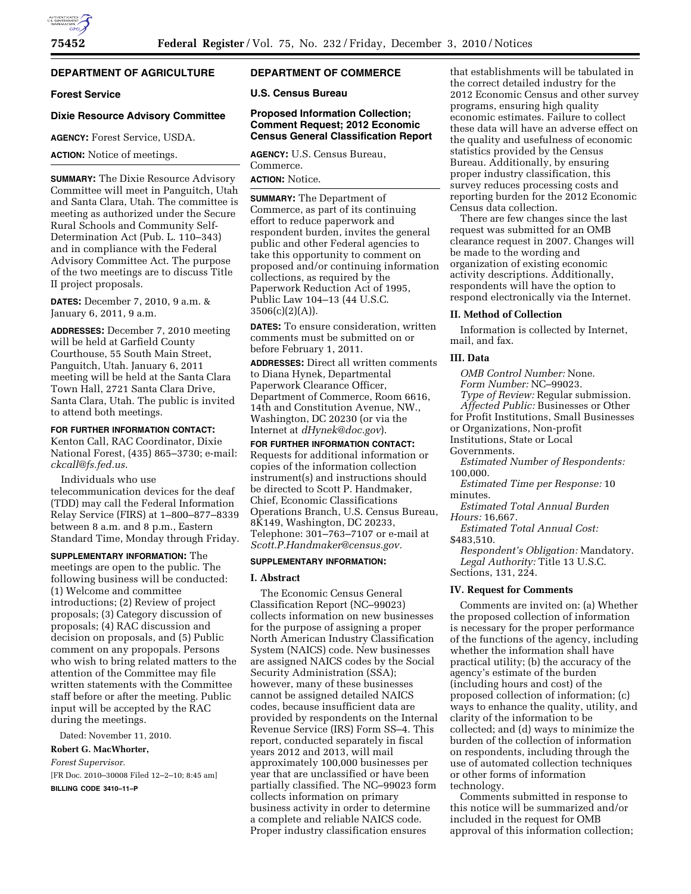# **DEPARTMENT OF AGRICULTURE**

#### **Forest Service**

#### **Dixie Resource Advisory Committee**

**AGENCY:** Forest Service, USDA.

**ACTION:** Notice of meetings.

**SUMMARY:** The Dixie Resource Advisory Committee will meet in Panguitch, Utah and Santa Clara, Utah. The committee is meeting as authorized under the Secure Rural Schools and Community Self-Determination Act (Pub. L. 110–343) and in compliance with the Federal Advisory Committee Act. The purpose of the two meetings are to discuss Title II project proposals.

**DATES:** December 7, 2010, 9 a.m. & January 6, 2011, 9 a.m.

**ADDRESSES:** December 7, 2010 meeting will be held at Garfield County Courthouse, 55 South Main Street, Panguitch, Utah. January 6, 2011 meeting will be held at the Santa Clara Town Hall, 2721 Santa Clara Drive, Santa Clara, Utah. The public is invited to attend both meetings.

**FOR FURTHER INFORMATION CONTACT:** 

Kenton Call, RAC Coordinator, Dixie National Forest, (435) 865–3730; e-mail: *[ckcall@fs.fed.us](mailto:ckcall@fs.fed.us)*.

Individuals who use telecommunication devices for the deaf (TDD) may call the Federal Information Relay Service (FIRS) at 1–800–877–8339 between 8 a.m. and 8 p.m., Eastern Standard Time, Monday through Friday.

**SUPPLEMENTARY INFORMATION:** The meetings are open to the public. The following business will be conducted: (1) Welcome and committee introductions; (2) Review of project proposals; (3) Category discussion of proposals; (4) RAC discussion and decision on proposals, and (5) Public comment on any propopals. Persons who wish to bring related matters to the attention of the Committee may file written statements with the Committee staff before or after the meeting. Public input will be accepted by the RAC during the meetings.

Dated: November 11, 2010.

## **Robert G. MacWhorter,**

*Forest Supervisor.*  [FR Doc. 2010–30008 Filed 12–2–10; 8:45 am] **BILLING CODE 3410–11–P** 

# **DEPARTMENT OF COMMERCE**

**U.S. Census Bureau** 

## **Proposed Information Collection; Comment Request; 2012 Economic Census General Classification Report**

**AGENCY:** U.S. Census Bureau, Commerce. **ACTION:** Notice.

**SUMMARY:** The Department of Commerce, as part of its continuing effort to reduce paperwork and respondent burden, invites the general public and other Federal agencies to take this opportunity to comment on proposed and/or continuing information collections, as required by the Paperwork Reduction Act of 1995, Public Law 104–13 (44 U.S.C.  $3506(c)(2)(A)$ ).

**DATES:** To ensure consideration, written comments must be submitted on or before February 1, 2011.

**ADDRESSES:** Direct all written comments to Diana Hynek, Departmental Paperwork Clearance Officer, Department of Commerce, Room 6616, 14th and Constitution Avenue, NW., Washington, DC 20230 (or via the Internet at *[dHynek@doc.gov](mailto:dHynek@doc.gov)*).

**FOR FURTHER INFORMATION CONTACT:**  Requests for additional information or copies of the information collection instrument(s) and instructions should be directed to Scott P. Handmaker, Chief, Economic Classifications Operations Branch, U.S. Census Bureau, 8K149, Washington, DC 20233, Telephone: 301–763–7107 or e-mail at *[Scott.P.Handmaker@census.gov.](mailto:Scott.P.Handmaker@census.gov)* 

#### **SUPPLEMENTARY INFORMATION:**

## **I. Abstract**

The Economic Census General Classification Report (NC–99023) collects information on new businesses for the purpose of assigning a proper North American Industry Classification System (NAICS) code. New businesses are assigned NAICS codes by the Social Security Administration (SSA); however, many of these businesses cannot be assigned detailed NAICS codes, because insufficient data are provided by respondents on the Internal Revenue Service (IRS) Form SS–4. This report, conducted separately in fiscal years 2012 and 2013, will mail approximately 100,000 businesses per year that are unclassified or have been partially classified. The NC–99023 form collects information on primary business activity in order to determine a complete and reliable NAICS code. Proper industry classification ensures

that establishments will be tabulated in the correct detailed industry for the 2012 Economic Census and other survey programs, ensuring high quality economic estimates. Failure to collect these data will have an adverse effect on the quality and usefulness of economic statistics provided by the Census Bureau. Additionally, by ensuring proper industry classification, this survey reduces processing costs and reporting burden for the 2012 Economic Census data collection.

There are few changes since the last request was submitted for an OMB clearance request in 2007. Changes will be made to the wording and organization of existing economic activity descriptions. Additionally, respondents will have the option to respond electronically via the Internet.

## **II. Method of Collection**

Information is collected by Internet, mail, and fax.

#### **III. Data**

*OMB Control Number:* None. *Form Number:* NC–99023. *Type of Review:* Regular submission. *Affected Public:* Businesses or Other for Profit Institutions, Small Businesses or Organizations, Non-profit Institutions, State or Local Governments. *Estimated Number of Respondents:*  100,000. *Estimated Time per Response:* 10 minutes. *Estimated Total Annual Burden Hours:* 16,667. *Estimated Total Annual Cost:*  \$483,510.

*Respondent's Obligation:* Mandatory. *Legal Authority:* Title 13 U.S.C. Sections, 131, 224.

#### **IV. Request for Comments**

Comments are invited on: (a) Whether the proposed collection of information is necessary for the proper performance of the functions of the agency, including whether the information shall have practical utility; (b) the accuracy of the agency's estimate of the burden (including hours and cost) of the proposed collection of information; (c) ways to enhance the quality, utility, and clarity of the information to be collected; and (d) ways to minimize the burden of the collection of information on respondents, including through the use of automated collection techniques or other forms of information technology.

Comments submitted in response to this notice will be summarized and/or included in the request for OMB approval of this information collection;